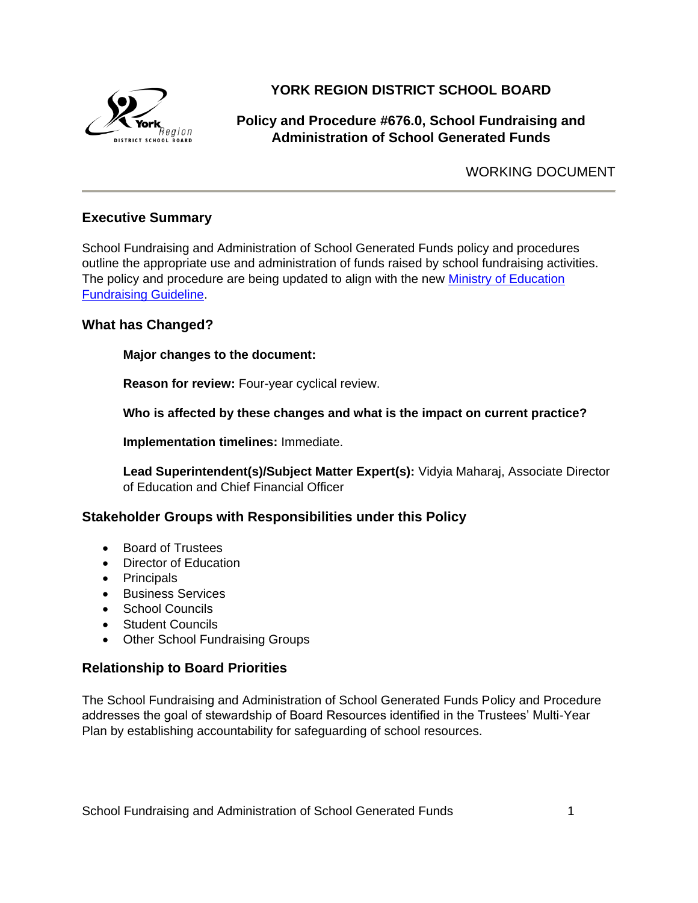

# **YORK REGION DISTRICT SCHOOL BOARD**

# **Policy and Procedure #676.0, School Fundraising and Administration of School Generated Funds**

WORKING DOCUMENT

# **Executive Summary**

School Fundraising and Administration of School Generated Funds policy and procedures outline the appropriate use and administration of funds raised by school fundraising activities. The policy and procedure are being updated to align with the new Ministry of Education [Fundraising Guideline.](http://www.edu.gov.on.ca/eng/parents/Fund2012Guideline.pdf)

# **What has Changed?**

**Major changes to the document:**

**Reason for review:** Four-year cyclical review.

**Who is affected by these changes and what is the impact on current practice?**

**Implementation timelines:** Immediate.

**Lead Superintendent(s)/Subject Matter Expert(s):** Vidyia Maharaj, Associate Director of Education and Chief Financial Officer

# **Stakeholder Groups with Responsibilities under this Policy**

- Board of Trustees
- Director of Education
- Principals
- **Business Services**
- School Councils
- Student Councils
- Other School Fundraising Groups

#### **Relationship to Board Priorities**

The School Fundraising and Administration of School Generated Funds Policy and Procedure addresses the goal of stewardship of Board Resources identified in the Trustees' Multi-Year Plan by establishing accountability for safeguarding of school resources.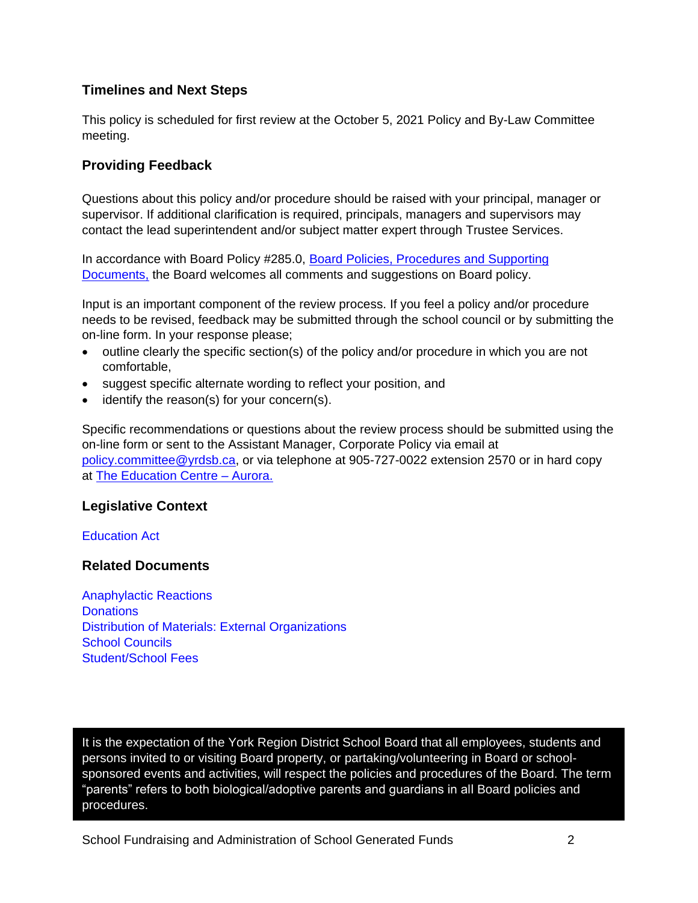# **Timelines and Next Steps**

This policy is scheduled for first review at the October 5, 2021 Policy and By-Law Committee meeting.

# **Providing Feedback**

Questions about this policy and/or procedure should be raised with your principal, manager or supervisor. If additional clarification is required, principals, managers and supervisors may contact the lead superintendent and/or subject matter expert through Trustee Services.

In accordance with Board Policy #285.0, [Board Policies, Procedures and Supporting](http://www.yrdsb.ca/boarddocs/Documents/PP-boardpoliciesandprocedures-285.pdf)  [Documents,](http://www.yrdsb.ca/boarddocs/Documents/PP-boardpoliciesandprocedures-285.pdf) the Board welcomes all comments and suggestions on Board policy.

Input is an important component of the review process. If you feel a policy and/or procedure needs to be revised, feedback may be submitted through the school council or by submitting the on-line form. In your response please;

- outline clearly the specific section(s) of the policy and/or procedure in which you are not comfortable,
- suggest specific alternate wording to reflect your position, and
- $\bullet$  identify the reason(s) for your concern(s).

Specific recommendations or questions about the review process should be submitted using the on-line form or sent to the Assistant Manager, Corporate Policy via email at [policy.committee@yrdsb.ca,](mailto:policy.committee@yrdsb.ca) or via telephone at 905-727-0022 extension 2570 or in hard copy at [The Education Centre –](https://www2.yrdsb.ca/about-us/departments) Aurora.

# **Legislative Context**

[Education Act](https://www.ontario.ca/laws/statute/90e02)

#### **Related Documents**

[Anaphylactic Reactions](http://www.yrdsb.ca/boarddocs/Documents/PP-healthsupport-662.pdf) **[Donations](http://www.yrdsb.ca/boarddocs/Documents/PP-donations-129.pdf)** [Distribution of Materials: External Organizations](http://www.yrdsb.ca/boarddocs/Documents/PP-distributionofmaterialsfromexternalsources-182.pdf) [School Councils](http://www.yrdsb.ca/boarddocs/Documents/PP-schoolcouncils-262.pdf) [Student/School Fees](http://www.yrdsb.ca/boarddocs/Documents/PP-studentfees-671.pdf)

It is the expectation of the York Region District School Board that all employees, students and persons invited to or visiting Board property, or partaking/volunteering in Board or schoolsponsored events and activities, will respect the policies and procedures of the Board. The term "parents" refers to both biological/adoptive parents and guardians in all Board policies and procedures.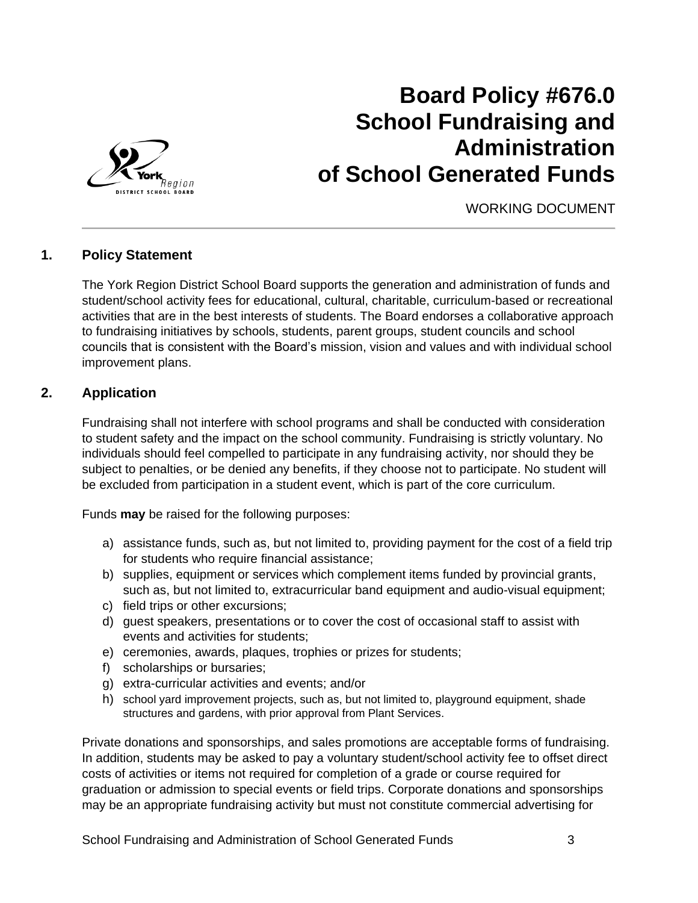

# **Board Policy #676.0 School Fundraising and Administration of School Generated Funds**

WORKING DOCUMENT

# **1. Policy Statement**

The York Region District School Board supports the generation and administration of funds and student/school activity fees for educational, cultural, charitable, curriculum-based or recreational activities that are in the best interests of students. The Board endorses a collaborative approach to fundraising initiatives by schools, students, parent groups, student councils and school councils that is consistent with the Board's mission, vision and values and with individual school improvement plans.

# **2. Application**

Fundraising shall not interfere with school programs and shall be conducted with consideration to student safety and the impact on the school community. Fundraising is strictly voluntary. No individuals should feel compelled to participate in any fundraising activity, nor should they be subject to penalties, or be denied any benefits, if they choose not to participate. No student will be excluded from participation in a student event, which is part of the core curriculum.

Funds **may** be raised for the following purposes:

- a) assistance funds, such as, but not limited to, providing payment for the cost of a field trip for students who require financial assistance;
- b) supplies, equipment or services which complement items funded by provincial grants, such as, but not limited to, extracurricular band equipment and audio-visual equipment;
- c) field trips or other excursions;
- d) guest speakers, presentations or to cover the cost of occasional staff to assist with events and activities for students;
- e) ceremonies, awards, plaques, trophies or prizes for students;
- f) scholarships or bursaries;
- g) extra-curricular activities and events; and/or
- h) school yard improvement projects, such as, but not limited to, playground equipment, shade structures and gardens, with prior approval from Plant Services.

Private donations and sponsorships, and sales promotions are acceptable forms of fundraising. In addition, students may be asked to pay a voluntary student/school activity fee to offset direct costs of activities or items not required for completion of a grade or course required for graduation or admission to special events or field trips. Corporate donations and sponsorships may be an appropriate fundraising activity but must not constitute commercial advertising for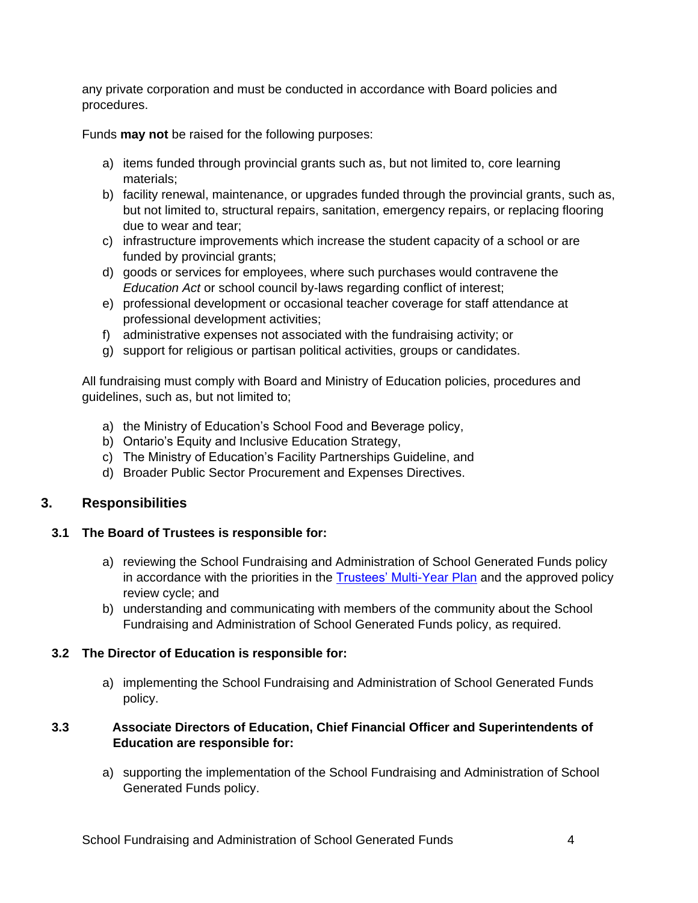any private corporation and must be conducted in accordance with Board policies and procedures.

Funds **may not** be raised for the following purposes:

- a) items funded through provincial grants such as, but not limited to, core learning materials;
- b) facility renewal, maintenance, or upgrades funded through the provincial grants, such as, but not limited to, structural repairs, sanitation, emergency repairs, or replacing flooring due to wear and tear;
- c) infrastructure improvements which increase the student capacity of a school or are funded by provincial grants;
- d) goods or services for employees, where such purchases would contravene the *Education Act* or school council by-laws regarding conflict of interest;
- e) professional development or occasional teacher coverage for staff attendance at professional development activities;
- f) administrative expenses not associated with the fundraising activity; or
- g) support for religious or partisan political activities, groups or candidates.

All fundraising must comply with Board and Ministry of Education policies, procedures and guidelines, such as, but not limited to;

- a) the Ministry of Education's School Food and Beverage policy,
- b) Ontario's Equity and Inclusive Education Strategy,
- c) The Ministry of Education's Facility Partnerships Guideline, and
- d) Broader Public Sector Procurement and Expenses Directives.

# **3. Responsibilities**

#### **3.1 The Board of Trustees is responsible for:**

- a) reviewing the School Fundraising and Administration of School Generated Funds policy in accordance with the priorities in the [Trustees' Multi-Year Plan](https://www2.yrdsb.ca/board-plans/multi-year-strategic-plan) and the approved policy review cycle; and
- b) understanding and communicating with members of the community about the School Fundraising and Administration of School Generated Funds policy, as required.

# **3.2 The Director of Education is responsible for:**

a) implementing the School Fundraising and Administration of School Generated Funds policy.

## **3.3 Associate Directors of Education, Chief Financial Officer and Superintendents of Education are responsible for:**

a) supporting the implementation of the School Fundraising and Administration of School Generated Funds policy.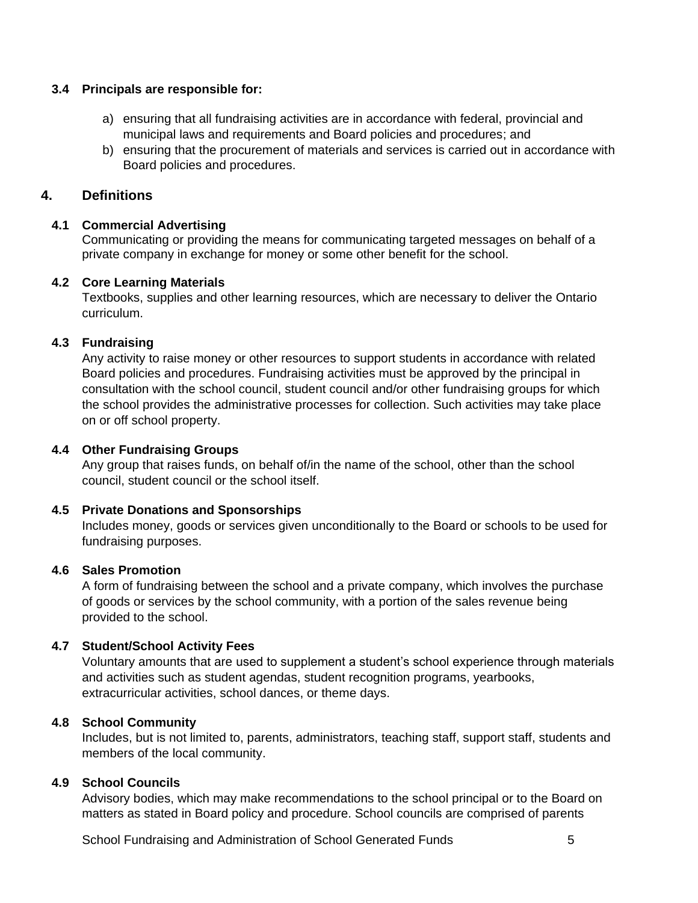#### **3.4 Principals are responsible for:**

- a) ensuring that all fundraising activities are in accordance with federal, provincial and municipal laws and requirements and Board policies and procedures; and
- b) ensuring that the procurement of materials and services is carried out in accordance with Board policies and procedures.

## **4. Definitions**

## **4.1 Commercial Advertising**

Communicating or providing the means for communicating targeted messages on behalf of a private company in exchange for money or some other benefit for the school.

#### **4.2 Core Learning Materials**

Textbooks, supplies and other learning resources, which are necessary to deliver the Ontario curriculum.

## **4.3 Fundraising**

Any activity to raise money or other resources to support students in accordance with related Board policies and procedures. Fundraising activities must be approved by the principal in consultation with the school council, student council and/or other fundraising groups for which the school provides the administrative processes for collection. Such activities may take place on or off school property.

#### **4.4 Other Fundraising Groups**

Any group that raises funds, on behalf of/in the name of the school, other than the school council, student council or the school itself.

#### **4.5 Private Donations and Sponsorships**

Includes money, goods or services given unconditionally to the Board or schools to be used for fundraising purposes.

#### **4.6 Sales Promotion**

A form of fundraising between the school and a private company, which involves the purchase of goods or services by the school community, with a portion of the sales revenue being provided to the school.

# **4.7 Student/School Activity Fees**

Voluntary amounts that are used to supplement a student's school experience through materials and activities such as student agendas, student recognition programs, yearbooks, extracurricular activities, school dances, or theme days.

#### **4.8 School Community**

Includes, but is not limited to, parents, administrators, teaching staff, support staff, students and members of the local community.

# **4.9 School Councils**

Advisory bodies, which may make recommendations to the school principal or to the Board on matters as stated in Board policy and procedure. School councils are comprised of parents

School Fundraising and Administration of School Generated Funds 5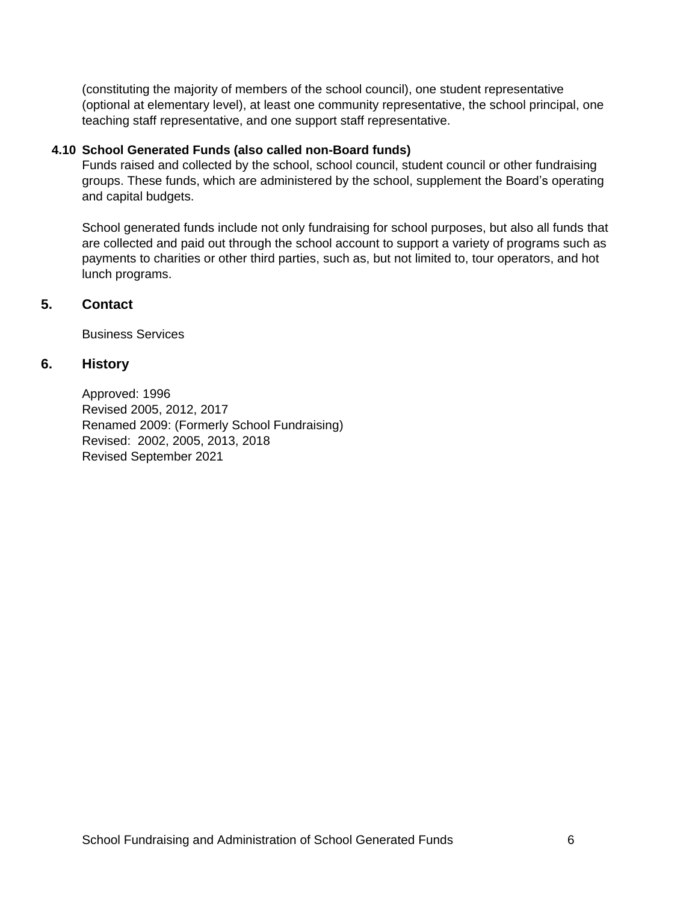(constituting the majority of members of the school council), one student representative (optional at elementary level), at least one community representative, the school principal, one teaching staff representative, and one support staff representative.

#### **4.10 School Generated Funds (also called non-Board funds)**

Funds raised and collected by the school, school council, student council or other fundraising groups. These funds, which are administered by the school, supplement the Board's operating and capital budgets.

School generated funds include not only fundraising for school purposes, but also all funds that are collected and paid out through the school account to support a variety of programs such as payments to charities or other third parties, such as, but not limited to, tour operators, and hot lunch programs.

#### **5. Contact**

Business Services

## **6. History**

Approved: 1996 Revised 2005, 2012, 2017 Renamed 2009: (Formerly School Fundraising) Revised: 2002, 2005, 2013, 2018 Revised September 2021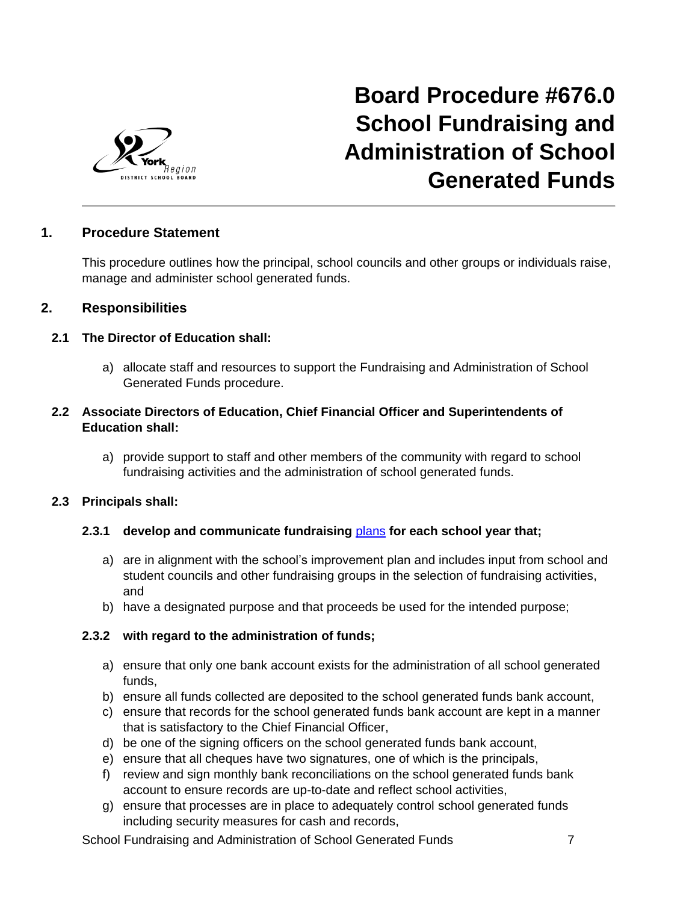

# **Board Procedure #676.0 School Fundraising and Administration of School Generated Funds**

# **1. Procedure Statement**

This procedure outlines how the principal, school councils and other groups or individuals raise, manage and administer school generated funds.

## **2. Responsibilities**

#### **2.1 The Director of Education shall:**

a) allocate staff and resources to support the Fundraising and Administration of School Generated Funds procedure.

## **2.2 Associate Directors of Education, Chief Financial Officer and Superintendents of Education shall:**

a) provide support to staff and other members of the community with regard to school fundraising activities and the administration of school generated funds.

#### **2.3 Principals shall:**

#### **2.3.1 develop and communicate fundraising** [plans](https://bww.yrdsb.ca/boarddocs/Documents/GL-fundraisingplanguideline.pdf) **for each school year that;**

- a) are in alignment with the school's improvement plan and includes input from school and student councils and other fundraising groups in the selection of fundraising activities, and
- b) have a designated purpose and that proceeds be used for the intended purpose;

#### **2.3.2 with regard to the administration of funds;**

- a) ensure that only one bank account exists for the administration of all school generated funds,
- b) ensure all funds collected are deposited to the school generated funds bank account,
- c) ensure that records for the school generated funds bank account are kept in a manner that is satisfactory to the Chief Financial Officer,
- d) be one of the signing officers on the school generated funds bank account,
- e) ensure that all cheques have two signatures, one of which is the principals,
- f) review and sign monthly bank reconciliations on the school generated funds bank account to ensure records are up-to-date and reflect school activities,
- g) ensure that processes are in place to adequately control school generated funds including security measures for cash and records,

School Fundraising and Administration of School Generated Funds 7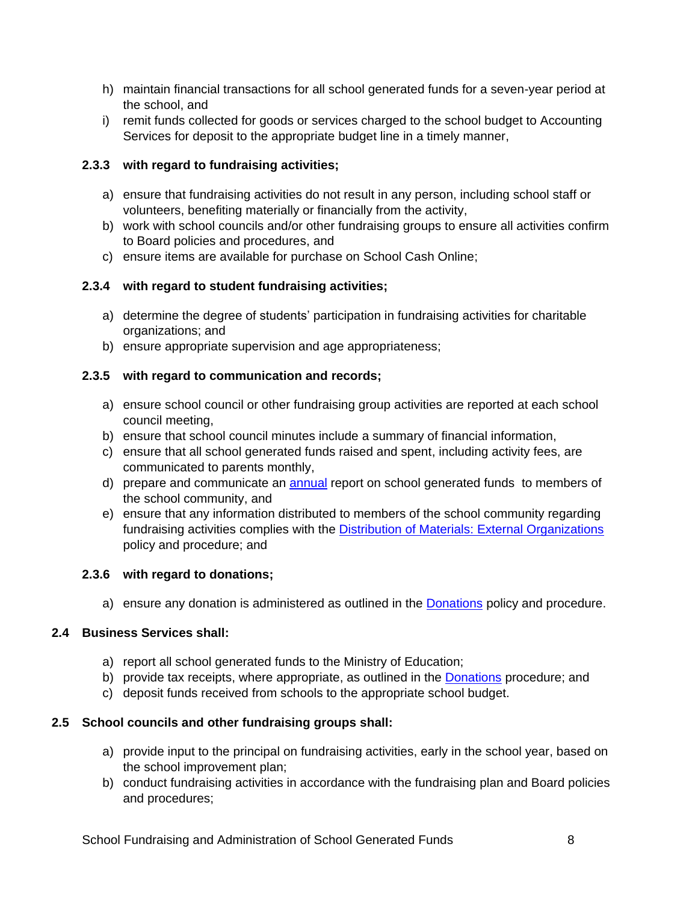- h) maintain financial transactions for all school generated funds for a seven-year period at the school, and
- i) remit funds collected for goods or services charged to the school budget to Accounting Services for deposit to the appropriate budget line in a timely manner,

## **2.3.3 with regard to fundraising activities;**

- a) ensure that fundraising activities do not result in any person, including school staff or volunteers, benefiting materially or financially from the activity,
- b) work with school councils and/or other fundraising groups to ensure all activities confirm to Board policies and procedures, and
- c) ensure items are available for purchase on School Cash Online;

## **2.3.4 with regard to student fundraising activities;**

- a) determine the degree of students' participation in fundraising activities for charitable organizations; and
- b) ensure appropriate supervision and age appropriateness;

## **2.3.5 with regard to communication and records;**

- a) ensure school council or other fundraising group activities are reported at each school council meeting,
- b) ensure that school council minutes include a summary of financial information,
- c) ensure that all school generated funds raised and spent, including activity fees, are communicated to parents monthly,
- d) prepare and communicate an **[annual](https://bww.yrdsb.ca/boarddocs/Documents/FOR-annualschoolgeneratedfundsfinancialreport.xls)** report on school generated funds to members of the school community, and
- e) ensure that any information distributed to members of the school community regarding fundraising activities complies with the [Distribution of Materials:](http://www.yrdsb.ca/boarddocs/Documents/PP-distributionofmaterialsfromexternalsources-182.pdf) External Organizations policy and procedure; and

#### **2.3.6 with regard to donations;**

a) ensure any donation is administered as outlined in the [Donations](http://www.yrdsb.ca/boarddocs/Documents/PP-donations-129.pdf) policy and procedure.

# **2.4 Business Services shall:**

- a) report all school generated funds to the Ministry of Education;
- b) provide tax receipts, where appropriate, as outlined in the [Donations](http://www.yrdsb.ca/boarddocs/Documents/PP-donations-129.pdf) procedure; and
- c) deposit funds received from schools to the appropriate school budget.

# **2.5 School councils and other fundraising groups shall:**

- a) provide input to the principal on fundraising activities, early in the school year, based on the school improvement plan;
- b) conduct fundraising activities in accordance with the fundraising plan and Board policies and procedures;